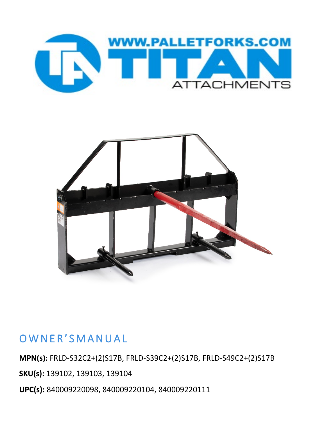



## OWNER'SMANUAL

**MPN(s):** FRLD-S32C2+(2)S17B, FRLD-S39C2+(2)S17B, FRLD-S49C2+(2)S17B

**SKU(s):** 139102, 139103, 139104

**UPC(s):** 840009220098, 840009220104, 840009220111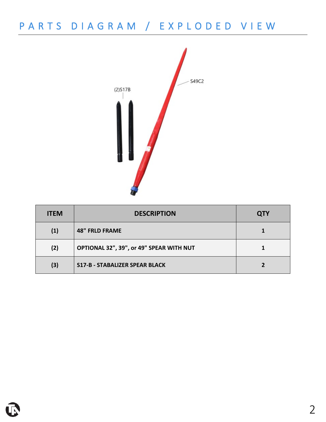

| <b>ITEM</b> | <b>DESCRIPTION</b>                       | <b>QTY</b> |
|-------------|------------------------------------------|------------|
| (1)         | <b>48" FRLD FRAME</b>                    |            |
| (2)         | OPTIONAL 32", 39", or 49" SPEAR WITH NUT |            |
| (3)         | <b>S17-B - STABALIZER SPEAR BLACK</b>    |            |